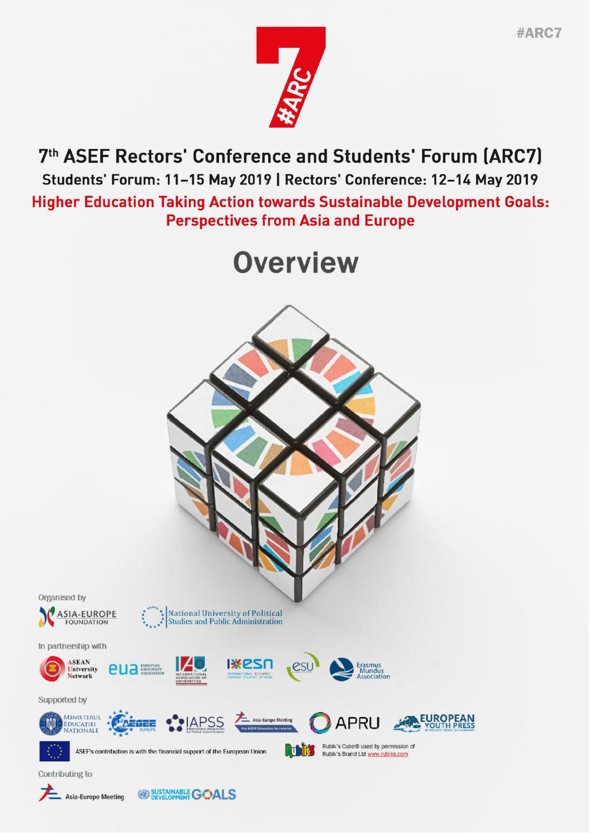

7th ASEF Rectors' Conference and Students' Forum (ARC7) Students' Forum: 11-15 May 2019 | Rectors' Conference: 12-14 May 2019 **Higher Education Taking Action towards Sustainable Development Goals: Perspectives from Asia and Europe** 

# **Overview**



<sup>SUSTAINABLE</sup> GOALS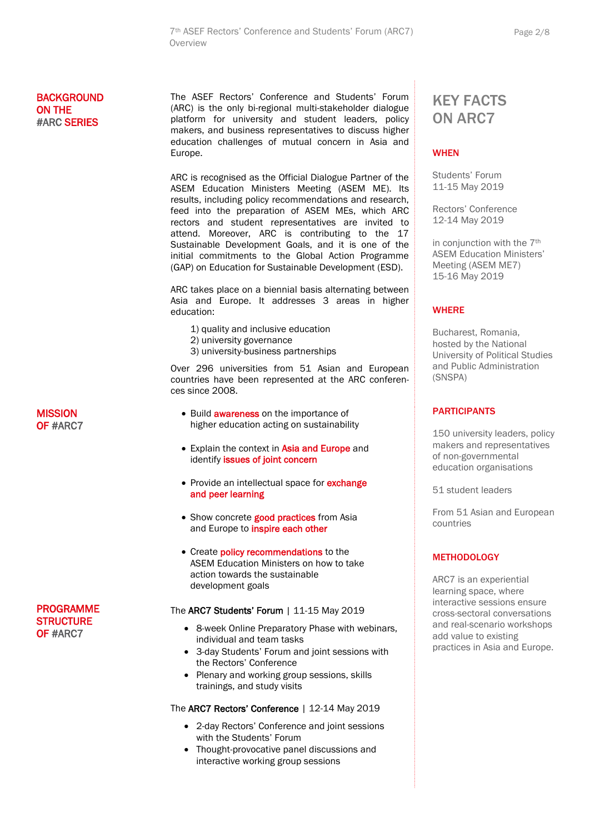# **BACKGROUND** ON THE #ARC SERIES

The ASEF Rectors' Conference and Students' Forum (ARC) is the only [bi-regional](http://rubiks.com) multi-stakeholder dialogue platform for university and student leaders, policy makers, and business representatives to discuss higher education challenges of mutual concern in Asia and Europe.

ARC is recognised as the Official Dialogue Partner of the ASEM Education Ministers Meeting (ASEM ME). Its results, including policy recommendations and research, feed into the preparation of ASEM MEs, which ARC rectors and student representatives are invited to attend. Moreover, ARC is contributing to the 17 Sustainable Development Goals, and it is one of the initial commitments to the Global Action Programme (GAP) on Education for Sustainable Development (ESD).

ARC takes place on a biennial basis alternating between Asia and Europe. It addresses 3 areas in higher education:

- 1) quality and inclusive education
- 2) university governance
- 3) university-business partnerships

Over 296 universities from 51 Asian and European countries have been represented at the ARC conferences since 2008.

- Build **awareness** on the importance of higher education acting on sustainability
- Explain the context in Asia and Europe and identify issues of joint concern
- Provide an intellectual space for **exchange** and peer learning
- Show concrete good practices from Asia and Europe to inspire each other
- Create **policy recommendations** to the ASEM Education Ministers on how to take action towards the sustainable development goals

#### The **ARC7 Students' Forum** | 11-15 May 2019

- 8-week Online Preparatory Phase with webinars, individual and team tasks
- 3-day Students' Forum and joint sessions with the Rectors' Conference
- Plenary and working group sessions, skills trainings, and study visits

#### The ARC7 Rectors' Conference | 12-14 May 2019

- 2-day Rectors' Conference and joint sessions with the Students' Forum
- Thought-provocative panel discussions and interactive working group sessions

# KEY FACTS ON ARC7

## **WHEN**

Students' Forum 11-15 May 2019

Rectors' Conference 12-14 May 2019

in conjunction with the 7<sup>th</sup> ASEM Education Ministers' Meeting (ASEM ME7) 15-16 May 2019

#### **WHERE**

Bucharest, Romania, hosted by the National University of Political Studies and Public Administration (SNSPA)

## **PARTICIPANTS**

150 university leaders, policy makers and representatives of non-governmental education organisations

51 student leaders

From 51 Asian and European countries

#### **METHODOLOGY**

ARC7 is an experiential learning space, where interactive sessions ensure cross-sectoral conversations and real-scenario workshops add value to existing practices in Asia and Europe.

# **MISSION** OF #ARC7

PROGRAMME **STRUCTURE** OF #ARC7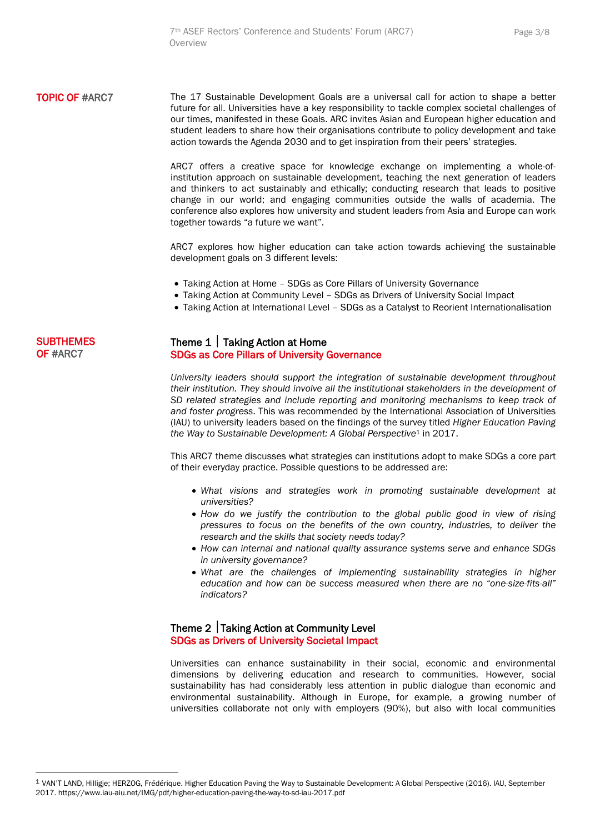**TOPIC OF #ARC7** The 17 Sustainable Development Goals are a universal call for action to shape a better future for all. Universities have a key responsibility to tackle complex societal challenges of our times, manifested in these Goals. ARC invites Asian and European higher education and student leaders to share how their organisations contribute to policy development and take action towards the Agenda 2030 and to get inspiration from their peers' strategies.

> ARC7 offers a creative space for knowledge exchange on implementing a whole-ofinstitution approach on sustainable development, teaching the next generation of leaders and thinkers to act sustainably and ethically; conducting research that leads to positive change in our world; and engaging communities outside the walls of academia. The conference also explores how university and student leaders from Asia and Europe can work together towards "a future we want".

> ARC7 explores how higher education can take action towards achieving the sustainable development goals on 3 different levels:

- Taking Action at Home SDGs as Core Pillars of University Governance
- Taking Action at Community Level SDGs as Drivers of University Social Impact
- Taking Action at International Level SDGs as a Catalyst to Reorient Internationalisation

# **SUBTHEMES** OF #ARC7

# Theme 1 | Taking Action at Home SDGs as Core Pillars of University Governance

*University leaders should support the integration of sustainable development throughout their institution. They should involve all the institutional stakeholders in the development of SD related strategies and include reporting and monitoring mechanisms to keep track of and foster progress*. This was recommended by the International Association of Universities (IAU) to university leaders based on the findings of the survey titled *Higher Education Paving the Way to Sustainable Development: A Global Perspective*<sup>1</sup> in 2017.

This ARC7 theme discusses what strategies can institutions adopt to make SDGs a core part of their everyday practice. Possible questions to be addressed are:

- *What visions and strategies work in promoting sustainable development at universities?*
- *How do we justify the contribution to the global public good in view of rising pressures to focus on the benefits of the own country, industries, to deliver the research and the skills that society needs today?*
- *How can internal and national quality assurance systems serve and enhance SDGs in university governance?*
- *What are the challenges of implementing sustainability strategies in higher education and how can be success measured when there are no "one-size-fits-all" indicators?*

# Theme  $2$  Taking Action at Community Level SDGs as Drivers of University Societal Impact

Universities can enhance sustainability in their social, economic and environmental dimensions by delivering education and research to communities. However, social sustainability has had considerably less attention in public dialogue than economic and environmental sustainability. Although in Europe, for example, a growing number of universities collaborate not only with employers (90%), but also with local communities

<sup>1</sup> VAN'T LAND, Hilligje; HERZOG, Frédérique. Higher Education Paving the Way to Sustainable Development: A Global Perspective (2016). IAU, September 2017. https://www.iau-aiu.net/IMG/pdf/higher-education-paving-the-way-to-sd-iau-2017.pdf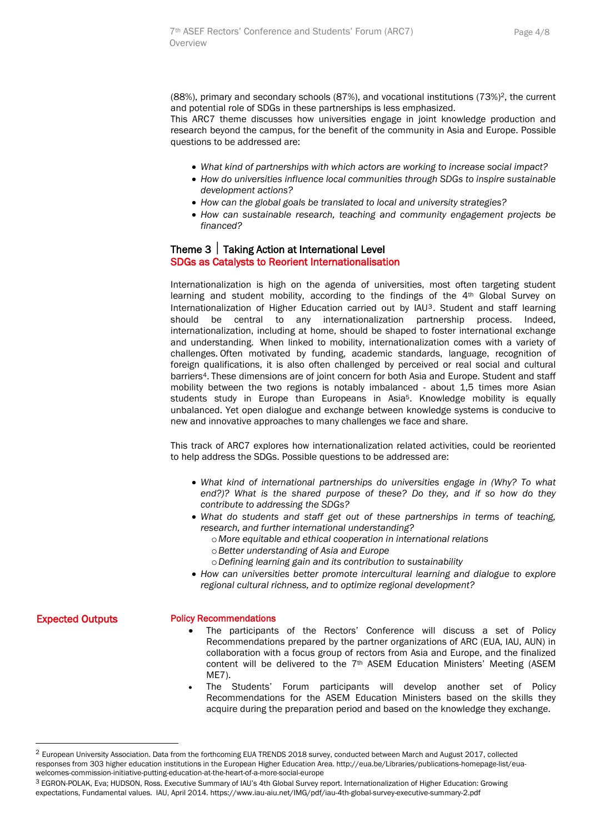(88%), primary and secondary schools (87%), and vocational institutions (73%)2, the current and potential role of SDGs in these partnerships is less emphasized.

This ARC7 theme discusses how universities engage in joint knowledge production and research beyond the campus, for the benefit of the community in Asia and Europe. Possible questions to be addressed are:

- *What kind of partnerships with which actors are working to increase social impact?*
- *How do universities influence local communities through SDGs to inspire sustainable development actions?*
- *How can the global goals be translated to local and university strategies?*
- *How can sustainable research, teaching and community engagement projects be financed?*

# Theme 3 | Taking Action at International Level SDGs as Catalysts to Reorient Internationalisation

Internationalization is high on the agenda of universities, most often targeting student learning and student mobility, according to the findings of the 4<sup>th</sup> Global Survey on Internationalization of Higher Education carried out by IAU<sup>3</sup>. Student and staff learning should be central to any internationalization partnership process. Indeed, internationalization, including at home, should be shaped to foster international exchange and understanding. When linked to mobility, internationalization comes with a variety of challenges. Often motivated by funding, academic standards, language, recognition of foreign qualifications, it is also often challenged by perceived or real social and cultural barriers4. These dimensions are of joint concern for both Asia and Europe. Student and staff mobility between the two regions is notably imbalanced - about 1,5 times more Asian students study in Europe than Europeans in Asia<sup>5</sup>. Knowledge mobility is equally unbalanced. Yet open dialogue and exchange between knowledge systems is conducive to new and innovative approaches to many challenges we face and share.

This track of ARC7 explores how internationalization related activities, could be reoriented to help address the SDGs. Possible questions to be addressed are:

- *What kind of international partnerships do universities engage in (Why? To what end?)? What is the shared purpose of these? Do they, and if so how do they contribute to addressing the SDGs?*
- *What do students and staff get out of these partnerships in terms of teaching, research, and further international understanding?*
	- o*More equitable and ethical cooperation in international relations*
	- o*Better understanding of Asia and Europe*
	- o*Defining learning gain and its contribution to sustainability*
- *How can universities better promote intercultural learning and dialogue to explore regional cultural richness, and to optimize regional development?*

Expected Outputs

 $\overline{a}$ 

#### Policy Recommendations

- The participants of the Rectors' Conference will discuss a set of Policy Recommendations prepared by the partner organizations of ARC (EUA, IAU, AUN) in collaboration with a focus group of rectors from Asia and Europe, and the finalized content will be delivered to the 7th ASEM Education Ministers' Meeting (ASEM ME7).
- The Students' Forum participants will develop another set of Policy Recommendations for the ASEM Education Ministers based on the skills they acquire during the preparation period and based on the knowledge they exchange.

<sup>&</sup>lt;sup>2</sup> European University Association. Data from the forthcoming EUA TRENDS 2018 survey, conducted between March and August 2017, collected responses from 303 higher education institutions in the European Higher Education Area. http://eua.be/Libraries/publications-homepage-list/euawelcomes-commission-initiative-putting-education-at-the-heart-of-a-more-social-europe

<sup>3</sup> EGRON-POLAK, Eva; HUDSON, Ross. Executive Summary of IAU's 4th Global Survey report. Internationalization of Higher Education: Growing expectations, Fundamental values. IAU, April 2014. https://www.iau-aiu.net/IMG/pdf/iau-4th-global-survey-executive-summary-2.pdf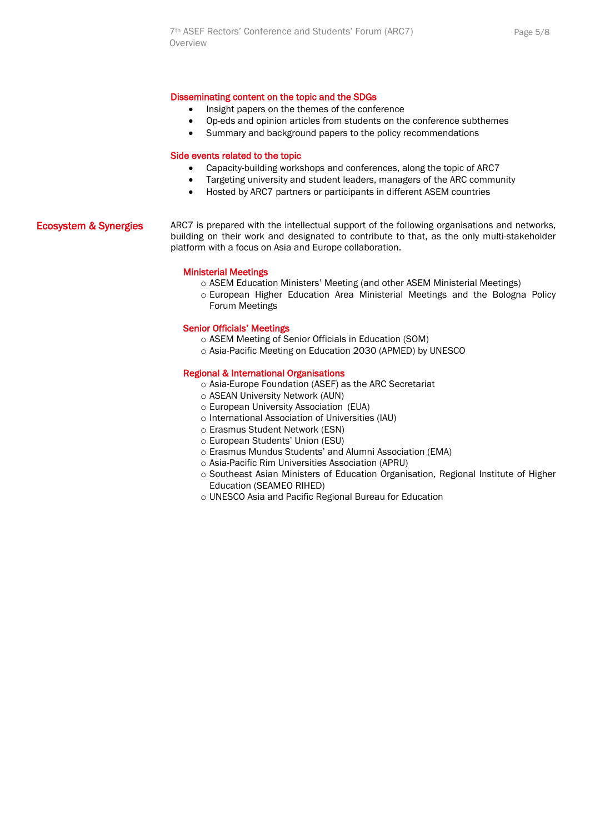#### Disseminating content on the topic and the SDGs

- Insight papers on the themes of the conference
- Op-eds and opinion articles from students on the conference subthemes
- Summary and background papers to the policy recommendations

#### Side events related to the topic

- Capacity-building workshops and conferences, along the topic of ARC7
- Targeting university and student leaders, managers of the ARC community
- Hosted by ARC7 partners or participants in different ASEM countries

#### Ecosystem & Synergies ARC7 is prepared with the intellectual support of the following organisations and networks, building on their work and designated to contribute to that, as the only multi-stakeholder platform with a focus on Asia and Europe collaboration.

#### Ministerial Meetings

- o ASEM Education Ministers' Meeting (and other ASEM Ministerial Meetings)
- o European Higher Education Area Ministerial Meetings and the Bologna Policy Forum Meetings

#### Senior Officials' Meetings

- o ASEM Meeting of Senior Officials in Education (SOM)
- o Asia-Pacific Meeting on Education 2030 (APMED) by UNESCO

#### Regional & International Organisations

- o Asia-Europe Foundation (ASEF) as the ARC Secretariat
- o ASEAN [University](http://www.aunsec.org/) Network (AUN)
- o European University [Association](http://www.eua.be/) (EUA)
- o [International](https://iau-aiu.net/) Association of Universities (IAU)
- o [Erasmus](https://esn.org/) Student Network (ESN)
- o [European](https://www.esu-online.org/) Students' Union (ESU)
- o Erasmus Mundus Students' and Alumni Association (EMA)
- o Asia-Pacific Rim Universities Association (APRU)
- o Southeast Asian Ministers of Education Organisation, Regional Institute of Higher Education (SEAMEO RIHED)
- o UNESCO Asia and Pacific Regional Bureau for Education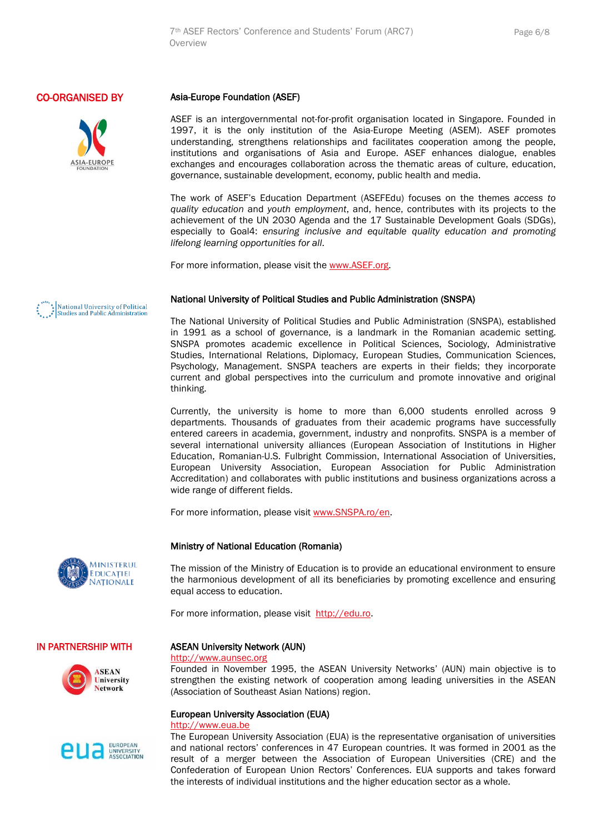# CO-ORGANISED BY



#### Asia-Europe Foundation (ASEF)

ASEF is an intergovernmental not-for-profit organisation located in Singapore. Founded in 1997, it is the only institution of the Asia-Europe Meeting (ASEM). ASEF promotes understanding, strengthens relationships and facilitates cooperation among the people, institutions and organisations of Asia and Europe. ASEF enhances dialogue, enables exchanges and encourages collaboration across the thematic areas of culture, education, governance, sustainable development, economy, public health and media.

The work of ASEF's Education Department (ASEFEdu) focuses on the themes *access to quality education* and *youth employment*, and, hence, contributes with its projects to the achievement of the UN 2030 Agenda and the 17 Sustainable Development Goals (SDGs), especially to Goal4: *ensuring inclusive and equitable quality education and promoting lifelong learning opportunities for all*.

For more information, please visit the [www.ASEF.org.](http://www.asef.org/)

#### National University of Political Studies and Public Administration (SNSPA)

The National University of Political Studies and Public Administration (SNSPA), established in 1991 as a school of governance, is a landmark in the Romanian academic setting. SNSPA promotes academic excellence in Political Sciences, Sociology, Administrative Studies, International Relations, Diplomacy, European Studies, Communication Sciences, Psychology, Management. SNSPA teachers are experts in their fields; they incorporate current and global perspectives into the curriculum and promote innovative and original thinking.

Currently, the university is home to more than 6,000 students enrolled across 9 departments. Thousands of graduates from their academic programs have successfully entered careers in academia, government, industry and nonprofits. SNSPA is a member of several international university alliances (European Association of Institutions in Higher Education, Romanian-U.S. Fulbright Commission, International Association of Universities, European University Association, European Association for Public Administration Accreditation) and collaborates with public institutions and business organizations across a wide range of different fields.

For more information, please visit [www.SNSPA.ro/en.](http://www.snspa.ro/en)

#### Ministry of National Education (Romania)

The mission of the Ministry of Education is to provide an educational environment to ensure the harmonious development of all its beneficiaries by promoting excellence and ensuring equal access to education.

For more information, please visit [http://edu.ro.](http://edu.ro/)

#### IN PARTNERSHIP WITH



**MINISTERUL EDUCATIEI** NATIONALE



#### ASEAN University Network (AUN)

#### [http://www.aunsec.org](http://www.aunsec.org/)

Founded in November 1995, the ASEAN University Networks' (AUN) main objective is to strengthen the existing network of cooperation among leading universities in the ASEAN (Association of Southeast Asian Nations) region.

#### European University Association (EUA)

#### [http://www.eua.be](http://www.eua.be/)

The European University Association (EUA) is the representative organisation of universities and national rectors' conferences in 47 European countries. It was formed in 2001 as the result of a merger between the Association of European Universities (CRE) and the Confederation of European Union Rectors' Conferences. EUA supports and takes forward the interests of individual institutions and the higher education sector as a whole.

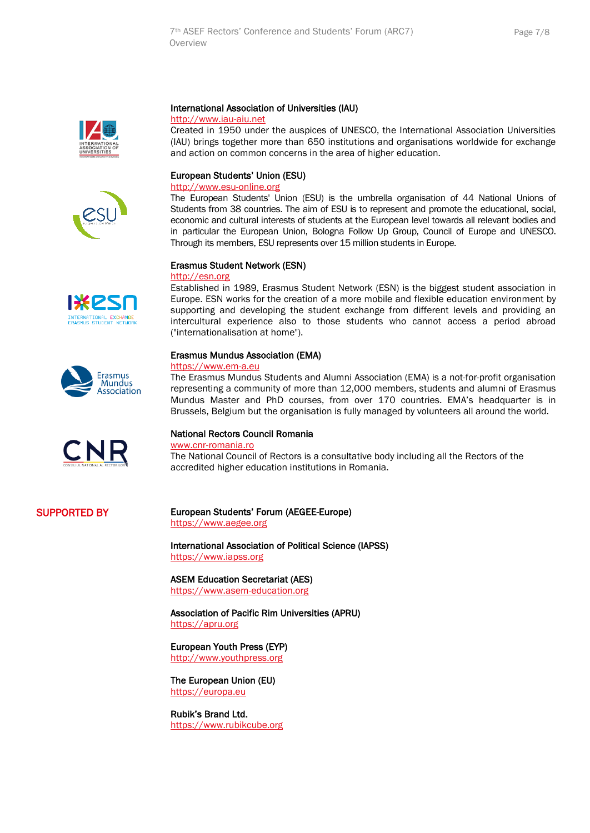



# International Association of Universities (IAU)

#### [http://www.iau-aiu.net](http://www.iau-aiu.net/)

Created in 1950 under the auspices of UNESCO, the International Association Universities (IAU) brings together more than 650 institutions and organisations worldwide for exchange and action on common concerns in the area of higher education.

# European Students' Union (ESU)

### [http://www.esu-online.org](http://www.esu-online.org/)

The European Students' Union (ESU) is the umbrella organisation of 44 National Unions of Students from 38 countries. The aim of ESU is to represent and promote the educational, social, economic and cultural interests of students at the European level towards all relevant bodies and in particular the European Union, Bologna Follow Up Group, Council of Europe and UNESCO. Through its members, ESU represents over 15 million students in Europe.

#### Erasmus Student Network (ESN)

#### [http://esn.org](http://esn.org/)

Established in 1989, Erasmus Student Network (ESN) is the biggest student association in Europe. ESN works for the creation of a more mobile and flexible education environment by supporting and developing the student exchange from different levels and providing an intercultural experience also to those students who cannot access a period abroad ("internationalisation at home").

#### Erasmus Mundus Association (EMA)

#### [https://www.em-a.eu](https://www.em-a.eu/)

The Erasmus Mundus Students and Alumni Association (EMA) is a not-for-profit organisation representing a community of more than 12,000 members, students and alumni of Erasmus Mundus Master and PhD courses, from over 170 countries. EMA's headquarter is in Brussels, Belgium but the organisation is fully managed by volunteers all around the world.

#### [National Rectors Council Romania](http://www.cnr-romania.ro/)

[www.cnr-romania.ro](http://www.cnr-romania.ro/)

The National Council of Rectors is a consultative body including all the Rectors of the accredited higher education institutions in Romania.

# SUPPORTED BY

# European Students' Forum (AEGEE-Europe)

[https://www.aegee.org](https://www.aegee.org/)

International Association of Political Science (IAPSS) [https://www.iapss.org](https://www.iapss.org/)

ASEM Education Secretariat (AES) https://www.asem-education.org

Association of Pacific Rim Universities (APRU) [https://apru.org](https://apru.org/)

European Youth Press (EYP) [http://www.youthpress.org](http://www.youthpress.org/)

The European Union (EU) [https://europa.eu](https://europa.eu/)

Rubik's Brand Ltd. [https://www.rubikcube.org](https://www.rubikcube.org/)